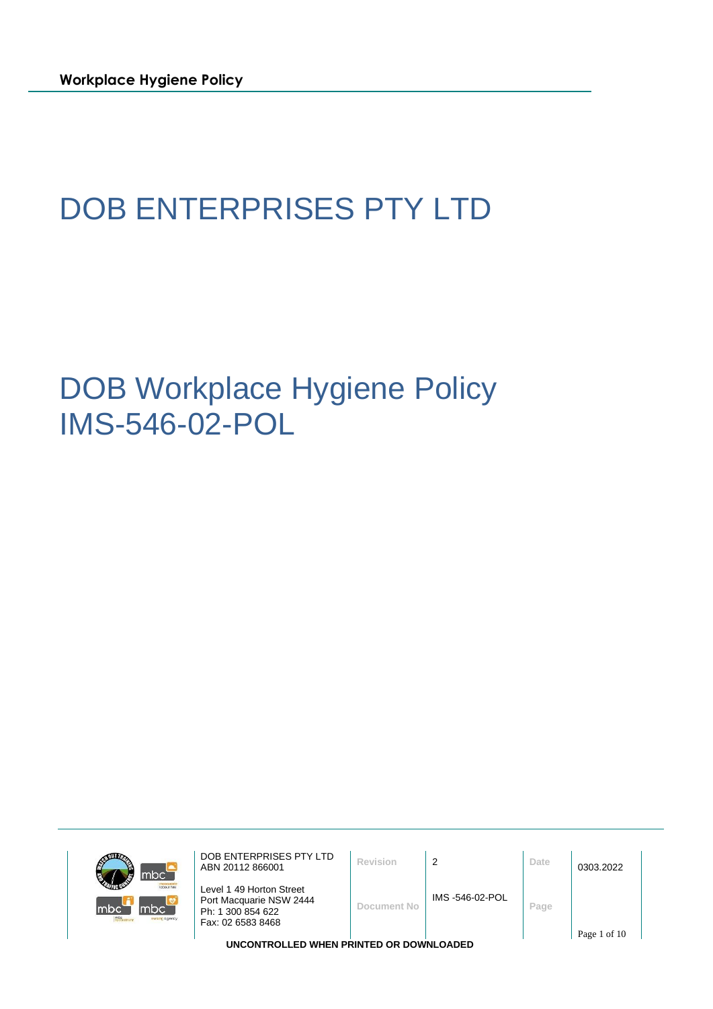# DOB ENTERPRISES PTY LTD

DOB Workplace Hygiene Policy IMS-546-02-POL



DOB ENTERPRISES PTY LTD **DOB ENTERPRISES PTY LTD**<br>ABN 20112 866001 Level 1 49 Horton Street Port Macquarie NSW 2444 Ph: 1 300 854 622 Fax: 02 6583 8468 **Document No** IMS -546-02-POL **Page** Page 1 of 10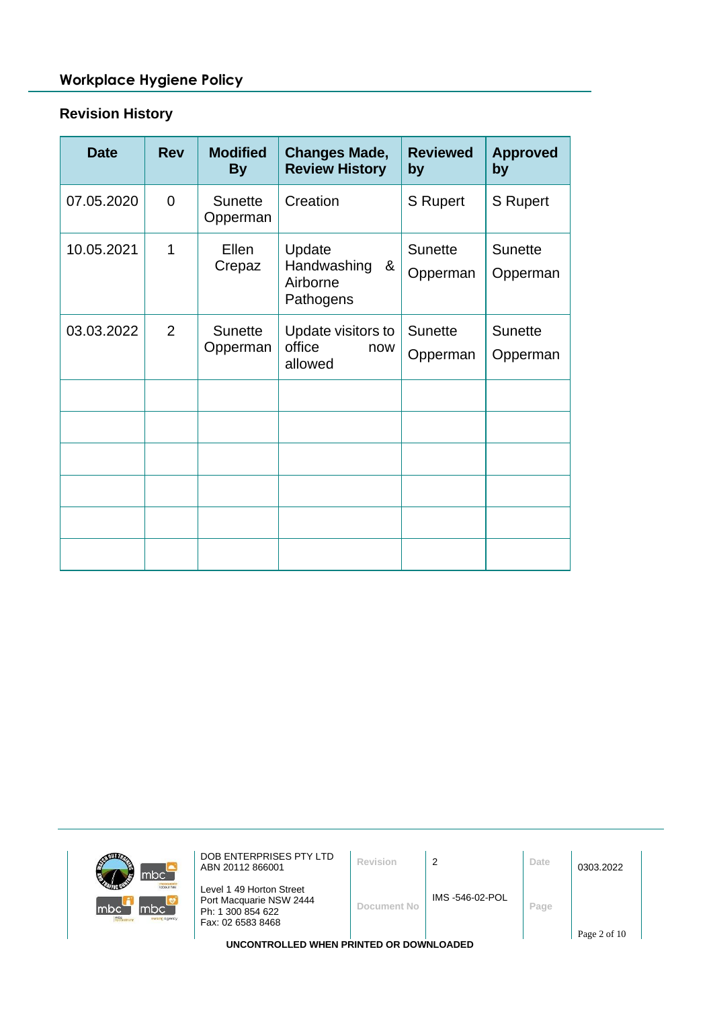# **Revision History**

| <b>Date</b> | <b>Rev</b>     | <b>Modified</b><br><b>By</b> | <b>Changes Made,</b><br><b>Review History</b>       | <b>Reviewed</b><br>by      | <b>Approved</b><br>by      |
|-------------|----------------|------------------------------|-----------------------------------------------------|----------------------------|----------------------------|
| 07.05.2020  | $\overline{0}$ | <b>Sunette</b><br>Opperman   | Creation                                            | S Rupert                   | S Rupert                   |
| 10.05.2021  | 1              | Ellen<br>Crepaz              | Update<br>Handwashing<br>&<br>Airborne<br>Pathogens | <b>Sunette</b><br>Opperman | <b>Sunette</b><br>Opperman |
| 03.03.2022  | 2              | <b>Sunette</b><br>Opperman   | Update visitors to<br>office<br>now<br>allowed      | <b>Sunette</b><br>Opperman | <b>Sunette</b><br>Opperman |
|             |                |                              |                                                     |                            |                            |
|             |                |                              |                                                     |                            |                            |
|             |                |                              |                                                     |                            |                            |
|             |                |                              |                                                     |                            |                            |
|             |                |                              |                                                     |                            |                            |
|             |                |                              |                                                     |                            |                            |

| mbc <sup>-</sup>                                             | DOB ENTERPRISES PTY LTD<br>ABN 20112 866001                                                   | Revision    |                | Date | 0303.2022    |  |
|--------------------------------------------------------------|-----------------------------------------------------------------------------------------------|-------------|----------------|------|--------------|--|
| <b>Icloour hire</b><br>mbc`<br>Imbc<br>mtc<br>nursing agency | Level 1 49 Horton Street<br>Port Macquarie NSW 2444<br>Ph: 1 300 854 622<br>Fax: 02 6583 8468 | Document No | IMS-546-02-POL | Page |              |  |
|                                                              |                                                                                               |             |                |      | Page 2 of 10 |  |
| UNCONTROLLED WHEN PRINTED OR DOWNLOADED                      |                                                                                               |             |                |      |              |  |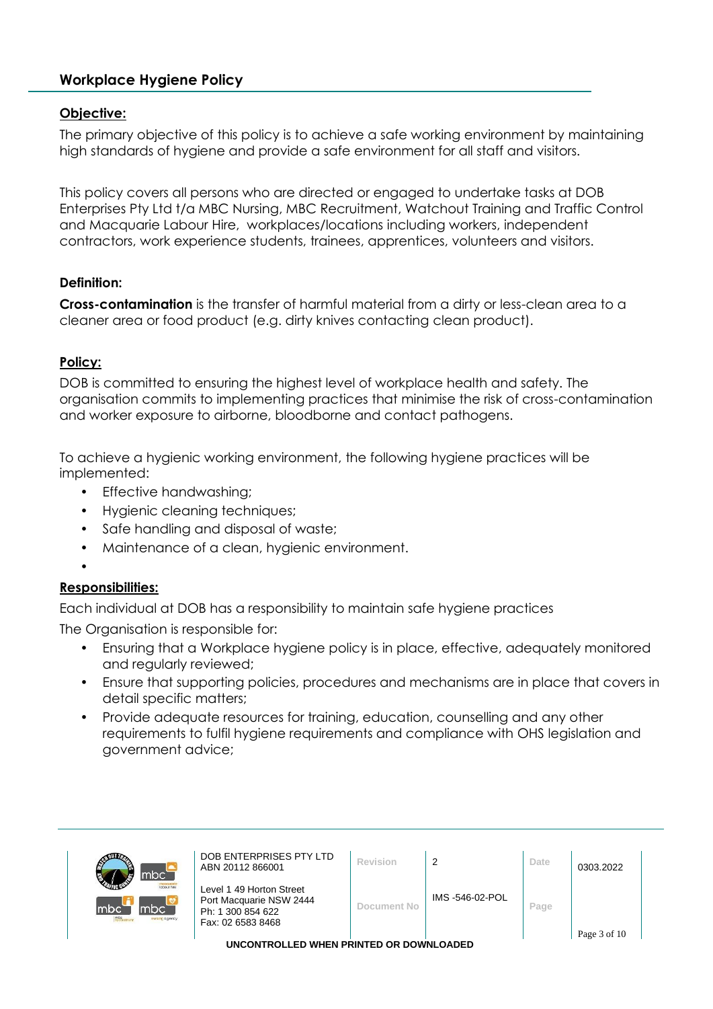#### **Objective:**

The primary objective of this policy is to achieve a safe working environment by maintaining high standards of hygiene and provide a safe environment for all staff and visitors.

This policy covers all persons who are directed or engaged to undertake tasks at DOB Enterprises Pty Ltd t/a MBC Nursing, MBC Recruitment, Watchout Training and Traffic Control and Macquarie Labour Hire, workplaces/locations including workers, independent contractors, work experience students, trainees, apprentices, volunteers and visitors.

#### **Definition:**

**Cross-contamination** is the transfer of harmful material from a dirty or less-clean area to a cleaner area or food product (e.g. dirty knives contacting clean product).

# **Policy:**

DOB is committed to ensuring the highest level of workplace health and safety. The organisation commits to implementing practices that minimise the risk of cross-contamination and worker exposure to airborne, bloodborne and contact pathogens.

To achieve a hygienic working environment, the following hygiene practices will be implemented:

- Effective handwashing;
- Hygienic cleaning techniques;
- Safe handling and disposal of waste;
- Maintenance of a clean, hygienic environment.

#### $\bullet$

#### **Responsibilities:**

Each individual at DOB has a responsibility to maintain safe hygiene practices

The Organisation is responsible for:

- Ensuring that a Workplace hygiene policy is in place, effective, adequately monitored and regularly reviewed;
- Ensure that supporting policies, procedures and mechanisms are in place that covers in detail specific matters;
- Provide adequate resources for training, education, counselling and any other requirements to fulfil hygiene requirements and compliance with OHS legislation and government advice;

| mbc <sup>-</sup>                                            | DOB ENTERPRISES PTY LTD<br>ABN 20112 866001                                                   | Revision    | $\overline{2}$  | Date | 0303.2022    |  |
|-------------------------------------------------------------|-----------------------------------------------------------------------------------------------|-------------|-----------------|------|--------------|--|
| <b>Icloour hire</b><br>lmbc<br>mbc<br>mtc<br>sursing agency | Level 1 49 Horton Street<br>Port Macquarie NSW 2444<br>Ph: 1 300 854 622<br>Fax: 02 6583 8468 | Document No | IMS -546-02-POL | Page | Page 3 of 10 |  |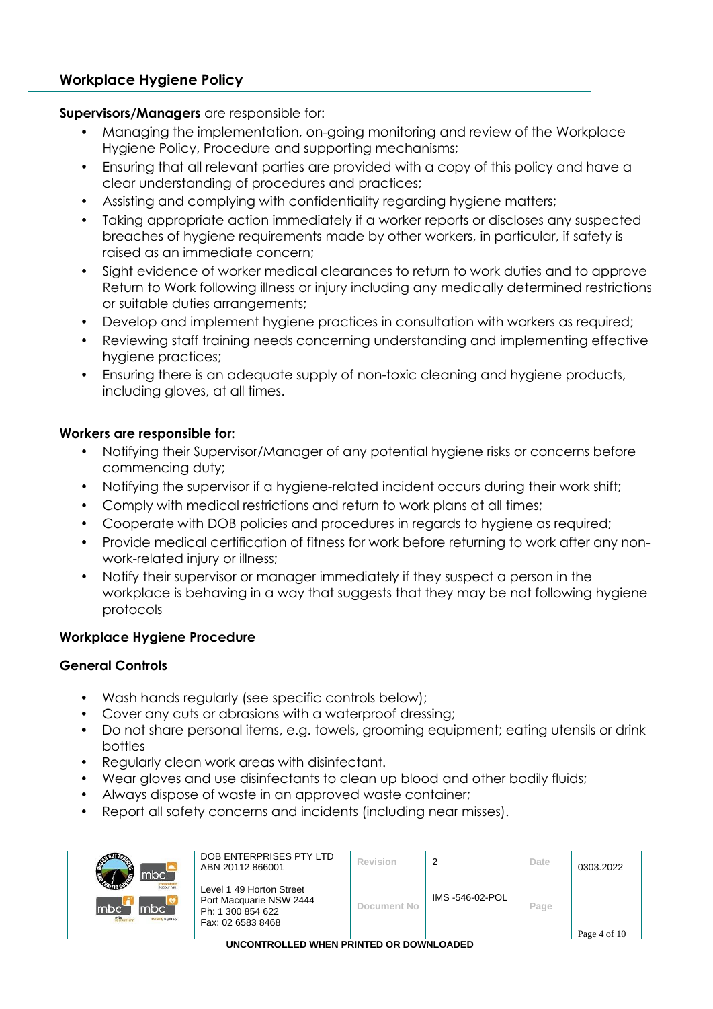#### **Supervisors/Managers** are responsible for:

- Managing the implementation, on-going monitoring and review of the Workplace Hygiene Policy, Procedure and supporting mechanisms;
- Ensuring that all relevant parties are provided with a copy of this policy and have a clear understanding of procedures and practices;
- Assisting and complying with confidentiality regarding hygiene matters;
- Taking appropriate action immediately if a worker reports or discloses any suspected breaches of hygiene requirements made by other workers, in particular, if safety is raised as an immediate concern;
- Sight evidence of worker medical clearances to return to work duties and to approve Return to Work following illness or injury including any medically determined restrictions or suitable duties arrangements;
- Develop and implement hygiene practices in consultation with workers as required;
- Reviewing staff training needs concerning understanding and implementing effective hygiene practices;
- Ensuring there is an adequate supply of non-toxic cleaning and hygiene products, including gloves, at all times.

# **Workers are responsible for:**

- Notifying their Supervisor/Manager of any potential hygiene risks or concerns before commencing duty;
- Notifying the supervisor if a hygiene-related incident occurs during their work shift;
- Comply with medical restrictions and return to work plans at all times;
- Cooperate with DOB policies and procedures in regards to hygiene as required;
- Provide medical certification of fitness for work before returning to work after any nonwork-related injury or illness;
- Notify their supervisor or manager immediately if they suspect a person in the workplace is behaving in a way that suggests that they may be not following hygiene protocols

# **Workplace Hygiene Procedure**

#### **General Controls**

- Wash hands regularly (see specific controls below);
- Cover any cuts or abrasions with a waterproof dressing;
- Do not share personal items, e.g. towels, grooming equipment; eating utensils or drink bottles
- Regularly clean work areas with disinfectant.
- Wear gloves and use disinfectants to clean up blood and other bodily fluids;
- Always dispose of waste in an approved waste container;
- Report all safety concerns and incidents (including near misses).

| mbc <sup>-</sup>                                                      | DOB ENTERPRISES PTY LTD<br>ABN 20112 866001                                                   | <b>Revision</b> |                | Date | 0303.2022    |  |  |
|-----------------------------------------------------------------------|-----------------------------------------------------------------------------------------------|-----------------|----------------|------|--------------|--|--|
| <b>Inhour hire</b><br>mbc<br>Imbc<br>m <sub>1</sub><br>sursing agency | Level 1 49 Horton Street<br>Port Macquarie NSW 2444<br>Ph: 1 300 854 622<br>Fax: 02 6583 8468 | Document No     | IMS-546-02-POL | Page |              |  |  |
|                                                                       |                                                                                               |                 |                |      | Page 4 of 10 |  |  |
| UNCONTROLLED WHEN PRINTED OR DOWNLOADED                               |                                                                                               |                 |                |      |              |  |  |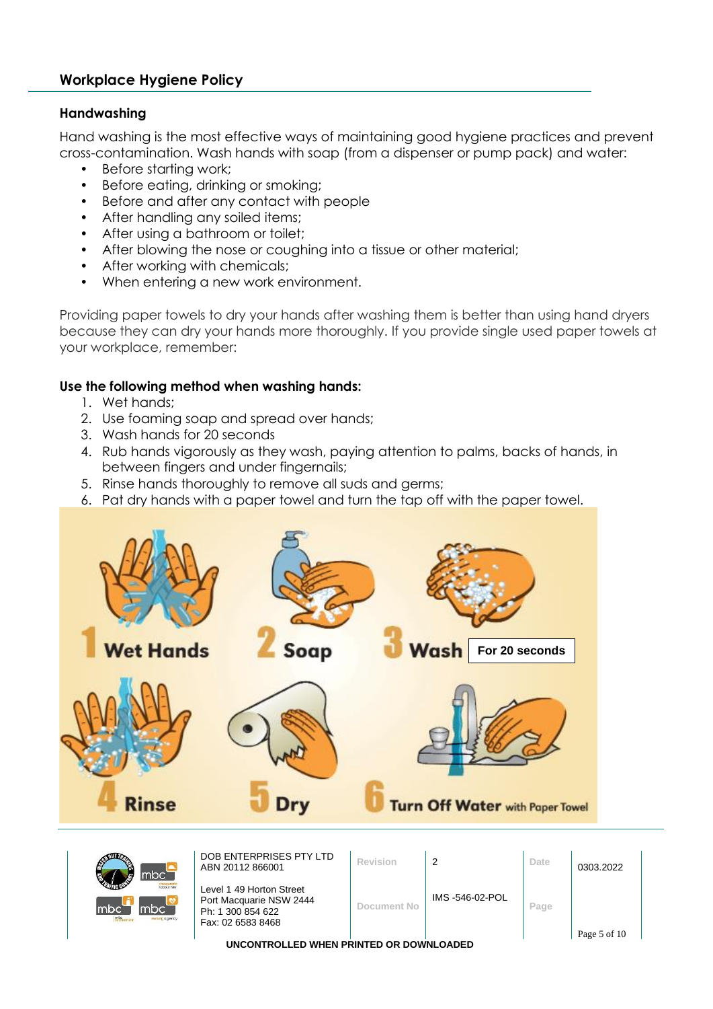#### **Handwashing**

Hand washing is the most effective ways of maintaining good hygiene practices and prevent cross-contamination. Wash hands with soap (from a dispenser or pump pack) and water:

- Before starting work;
- Before eating, drinking or smoking;
- Before and after any contact with people
- After handling any soiled items:
- After using a bathroom or toilet;
- After blowing the nose or coughing into a tissue or other material;
- After working with chemicals;
- When entering a new work environment.

Providing paper towels to dry your hands after washing them is better than using hand dryers because they can dry your hands more thoroughly. If you provide single used paper towels at your workplace, remember:

#### **Use the following method when washing hands:**

- 1. Wet hands;
- 2. Use foaming soap and spread over hands;
- 3. Wash hands for 20 seconds
- 4. Rub hands vigorously as they wash, paying attention to palms, backs of hands, in between fingers and under fingernails;
- 5. Rinse hands thoroughly to remove all suds and germs;
- 6. Pat dry hands with a paper towel and turn the tap off with the paper towel.



| đ<br>mbc`                                                                 | DOB ENTERPRISES PTY LTD<br>ABN 20112 866001                                                   | Revision    | 2              | Date | 0303.2022    |  |  |  |
|---------------------------------------------------------------------------|-----------------------------------------------------------------------------------------------|-------------|----------------|------|--------------|--|--|--|
| <b>Inhour hire</b><br>Imbc <sup>:</sup><br>Imbc`<br><b>TUrsing agency</b> | Level 1 49 Horton Street<br>Port Macquarie NSW 2444<br>Ph: 1 300 854 622<br>Fax: 02 6583 8468 | Document No | IMS-546-02-POL | Page |              |  |  |  |
|                                                                           |                                                                                               |             |                |      | Page 5 of 10 |  |  |  |
| UNCONTROLLED WHEN PRINTED OR DOWNLOADED                                   |                                                                                               |             |                |      |              |  |  |  |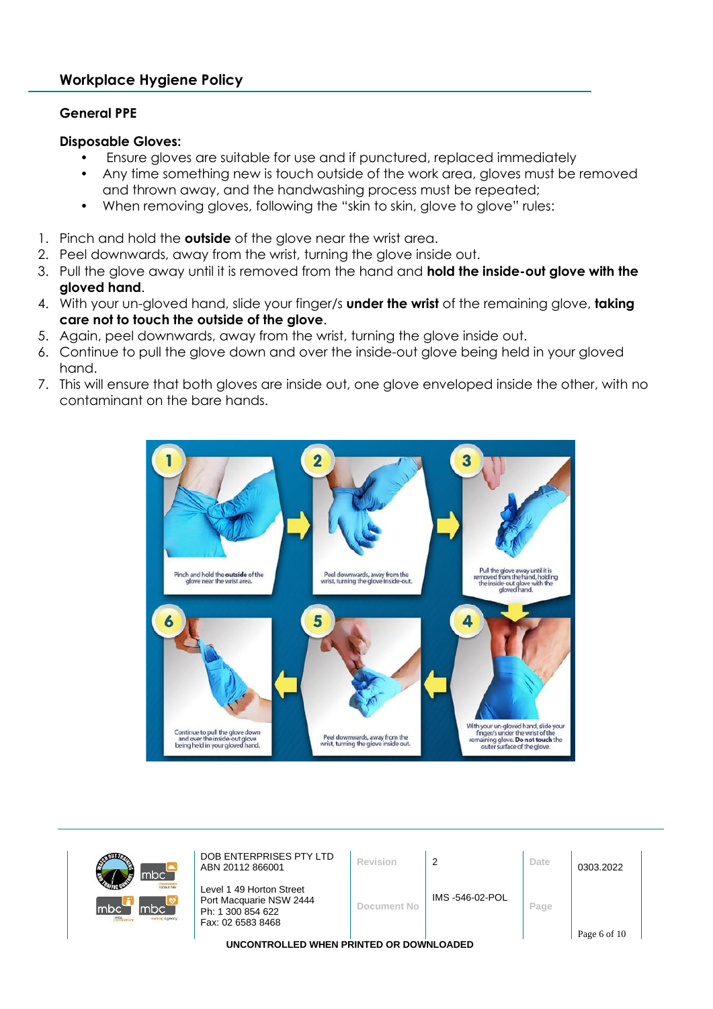#### **General PPE**

#### **Disposable Gloves:**

- Ensure gloves are suitable for use and if punctured, replaced immediately
- Any time something new is touch outside of the work area, gloves must be removed and thrown away, and the handwashing process must be repeated;
- When removing gloves, following the "skin to skin, glove to glove" rules:
- 1. Pinch and hold the **outside** of the glove near the wrist area.
- 2. Peel downwards, away from the wrist, turning the glove inside out.
- 3. Pull the glove away until it is removed from the hand and **hold the inside-out glove with the gloved hand**.
- 4. With your un-gloved hand, slide your finger/s **under the wrist** of the remaining glove, **taking care not to touch the outside of the glove**.
- 5. Again, peel downwards, away from the wrist, turning the glove inside out.
- 6. Continue to pull the glove down and over the inside-out glove being held in your gloved hand.
- 7. This will ensure that both gloves are inside out, one glove enveloped inside the other, with no contaminant on the bare hands.



| mbc <sup>'</sup>                                                    | DOB ENTERPRISES PTY LTD<br>ABN 20112 866001                                                   | Revision    | 2              | Date | 0303.2022    |  |
|---------------------------------------------------------------------|-----------------------------------------------------------------------------------------------|-------------|----------------|------|--------------|--|
| <b>Icloour hire</b><br>lmbc`<br>mbc<br>mte<br><b>TUrsing agency</b> | Level 1 49 Horton Street<br>Port Macquarie NSW 2444<br>Ph: 1 300 854 622<br>Fax: 02 6583 8468 | Document No | IMS-546-02-POL | Page |              |  |
|                                                                     |                                                                                               |             |                |      | Page 6 of 10 |  |
|                                                                     | LINCONTROLLED WHEN PRINTED OR DOWNLOADED.                                                     |             |                |      |              |  |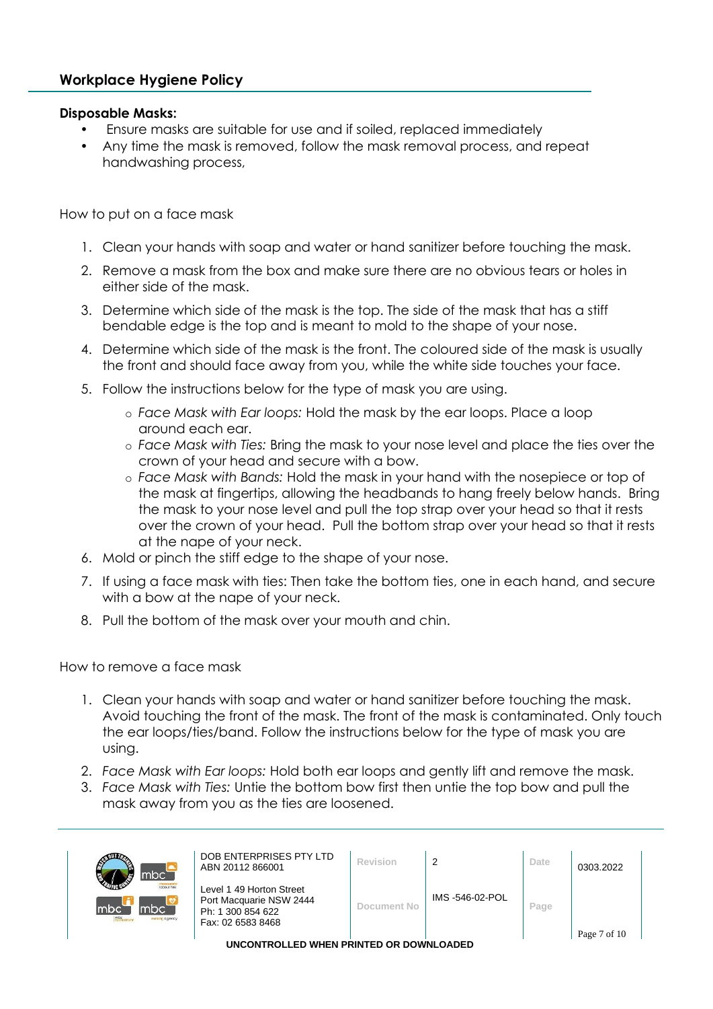#### **Disposable Masks:**

- Ensure masks are suitable for use and if soiled, replaced immediately
- Any time the mask is removed, follow the mask removal process, and repeat handwashing process,

How to put on a face mask

- 1. Clean your hands with soap and water or hand sanitizer before touching the mask.
- 2. Remove a mask from the box and make sure there are no obvious tears or holes in either side of the mask.
- 3. Determine which side of the mask is the top. The side of the mask that has a stiff bendable edge is the top and is meant to mold to the shape of your nose.
- 4. Determine which side of the mask is the front. The coloured side of the mask is usually the front and should face away from you, while the white side touches your face.
- 5. Follow the instructions below for the type of mask you are using.
	- o *Face Mask with Ear loops:* Hold the mask by the ear loops. Place a loop around each ear.
	- o *Face Mask with Ties:* Bring the mask to your nose level and place the ties over the crown of your head and secure with a bow.
	- o *Face Mask with Bands:* Hold the mask in your hand with the nosepiece or top of the mask at fingertips, allowing the headbands to hang freely below hands. Bring the mask to your nose level and pull the top strap over your head so that it rests over the crown of your head. Pull the bottom strap over your head so that it rests at the nape of your neck.
- 6. Mold or pinch the stiff edge to the shape of your nose.
- 7. If using a face mask with ties: Then take the bottom ties, one in each hand, and secure with a bow at the nape of your neck.
- 8. Pull the bottom of the mask over your mouth and chin.

How to remove a face mask

- 1. Clean your hands with soap and water or hand sanitizer before touching the mask. Avoid touching the front of the mask. The front of the mask is contaminated. Only touch the ear loops/ties/band. Follow the instructions below for the type of mask you are using.
- 2. *Face Mask with Ear loops:* Hold both ear loops and gently lift and remove the mask.
- 3. *Face Mask with Ties:* Untie the bottom bow first then untie the top bow and pull the mask away from you as the ties are loosened.

| mbc <sup>'</sup>                                                   | DOB ENTERPRISES PTY LTD<br>ABN 20112 866001                                                   | Revision    | 2               | Date | 0303.2022    |  |
|--------------------------------------------------------------------|-----------------------------------------------------------------------------------------------|-------------|-----------------|------|--------------|--|
| <b>Introur hire</b><br>lmbc <sup>'</sup><br>mbc`<br>sursing agency | Level 1 49 Horton Street<br>Port Macquarie NSW 2444<br>Ph: 1 300 854 622<br>Fax: 02 6583 8468 | Document No | IMS -546-02-POL | Page |              |  |
|                                                                    |                                                                                               |             |                 |      | Page 7 of 10 |  |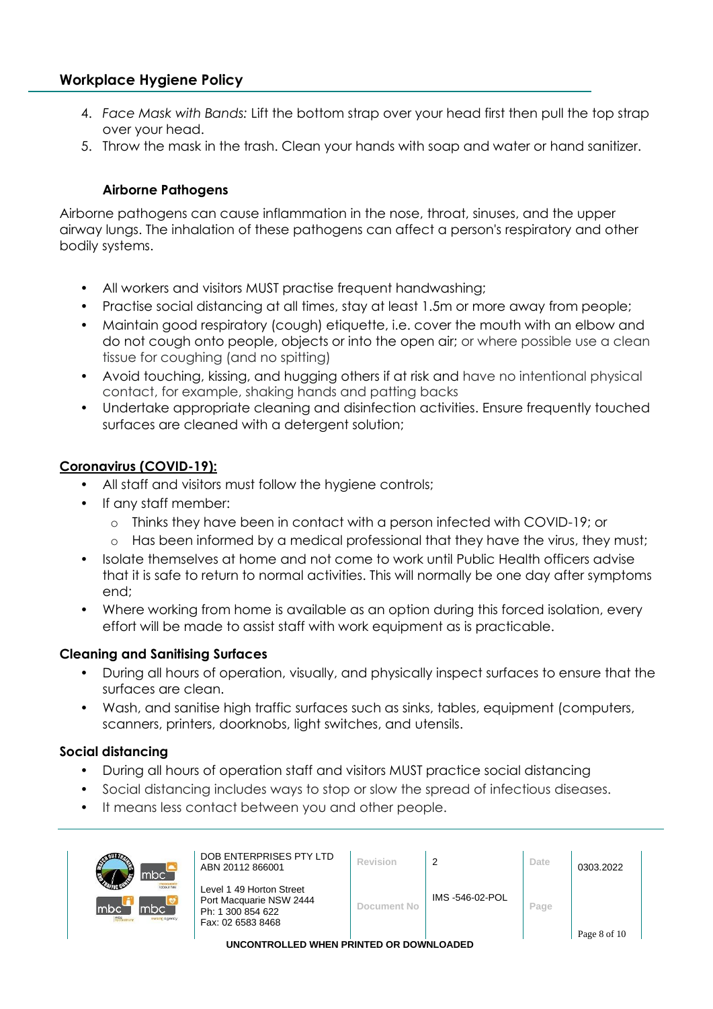- 4. *Face Mask with Bands:* Lift the bottom strap over your head first then pull the top strap over your head.
- 5. Throw the mask in the trash. Clean your hands with soap and water or hand sanitizer.

#### **Airborne Pathogens**

Airborne pathogens can cause inflammation in the nose, throat, sinuses, and the upper airway lungs. The inhalation of these pathogens can affect a person's respiratory and other bodily systems.

- All workers and visitors MUST practise frequent handwashing;
- Practise social distancing at all times, stay at least 1.5m or more away from people;
- Maintain good respiratory (cough) etiquette, i.e. cover the mouth with an elbow and do not cough onto people, objects or into the open air; or where possible use a clean tissue for coughing (and no spitting)
- Avoid touching, kissing, and hugging others if at risk and have no intentional physical contact, for example, shaking hands and patting backs
- Undertake appropriate cleaning and disinfection activities. Ensure frequently touched surfaces are cleaned with a detergent solution;

#### **Coronavirus (COVID-19):**

- All staff and visitors must follow the hygiene controls;
- If any staff member:
	- o Thinks they have been in contact with a person infected with COVID-19; or
	- Has been informed by a medical professional that they have the virus, they must;
- Isolate themselves at home and not come to work until Public Health officers advise that it is safe to return to normal activities. This will normally be one day after symptoms end;
- Where working from home is available as an option during this forced isolation, every effort will be made to assist staff with work equipment as is practicable.

#### **Cleaning and Sanitising Surfaces**

- During all hours of operation, visually, and physically inspect surfaces to ensure that the surfaces are clean.
- Wash, and sanitise high traffic surfaces such as sinks, tables, equipment (computers, scanners, printers, doorknobs, light switches, and utensils.

#### **Social distancing**

- During all hours of operation staff and visitors MUST practice social distancing
- Social distancing includes ways to stop or slow the spread of infectious diseases.
- It means less contact between you and other people.

| ABN 20112 866001<br>mbc`                                                                                | DOB ENTERPRISES PTY LTD                             | Revision    | 2              | Date | 0303.2022 |  |
|---------------------------------------------------------------------------------------------------------|-----------------------------------------------------|-------------|----------------|------|-----------|--|
| <b>Icloour hire</b><br>Imbc`<br>Imbc<br>Ph: 1 300 854 622<br>mte<br>sursing agency<br>Fax: 02 6583 8468 | Level 1 49 Horton Street<br>Port Macquarie NSW 2444 | Document No | IMS-546-02-POL | Page |           |  |
| Page 8 of 10<br>UNCONTROLLED WHEN PRINTED OR DOWNLOADED                                                 |                                                     |             |                |      |           |  |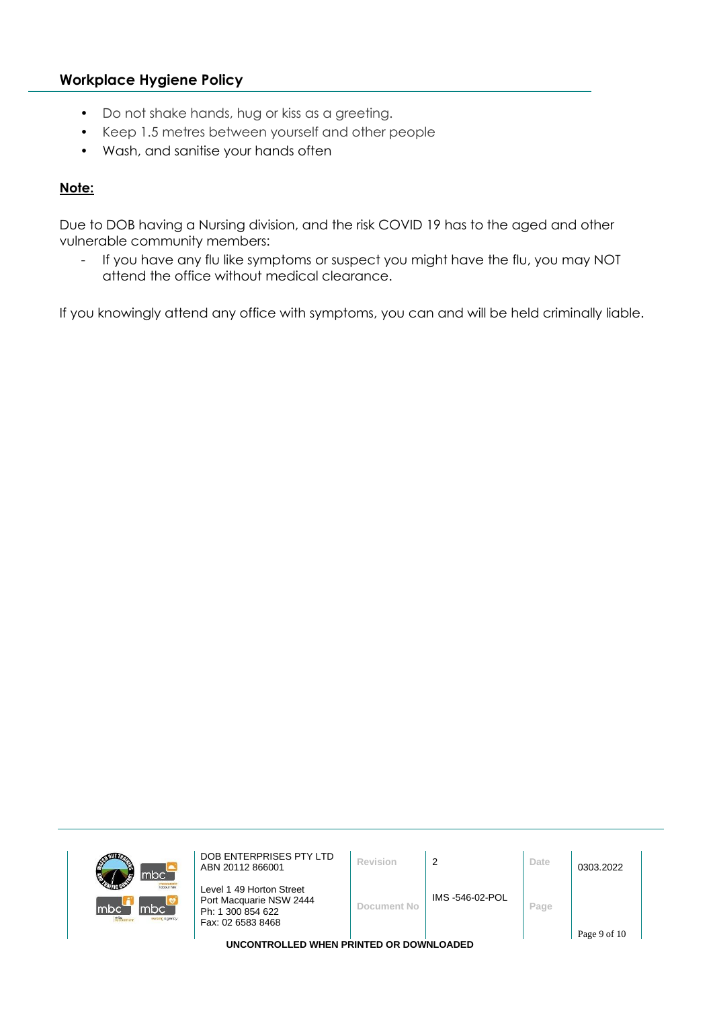- Do not shake hands, hug or kiss as a greeting.
- Keep 1.5 metres between yourself and other people
- Wash, and sanitise your hands often

#### **Note:**

Due to DOB having a Nursing division, and the risk COVID 19 has to the aged and other vulnerable community members:

- If you have any flu like symptoms or suspect you might have the flu, you may NOT attend the office without medical clearance.

If you knowingly attend any office with symptoms, you can and will be held criminally liable.

| đ<br>mbc`                           | DOB ENTERPRISES PTY LTD<br>ABN 20112 866001                              | Revision    |                | Date | 0303.2022    |
|-------------------------------------|--------------------------------------------------------------------------|-------------|----------------|------|--------------|
| <b>Iclocur hine</b><br>mbc`<br>Imbo | Level 1 49 Horton Street<br>Port Macquarie NSW 2444<br>Ph: 1 300 854 622 | Document No | IMS-546-02-POL | Page |              |
| sursing agency                      | Fax: 02 6583 8468<br>UNCONTROLLED WHEN PRINTED OR DOWNLOADED             |             |                |      | Page 9 of 10 |